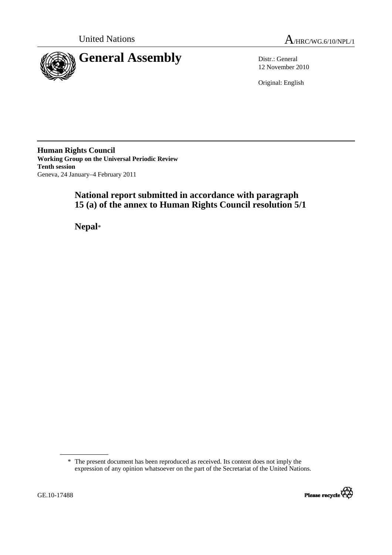



12 November 2010

Original: English

**Human Rights Council Working Group on the Universal Periodic Review Tenth session**  Geneva, 24 January–4 February 2011

# **National report submitted in accordance with paragraph 15 (a) of the annex to Human Rights Council resolution 5/1**

 **Nepal**\*

<sup>\*</sup> The present document has been reproduced as received. Its content does not imply the expression of any opinion whatsoever on the part of the Secretariat of the United Nations.

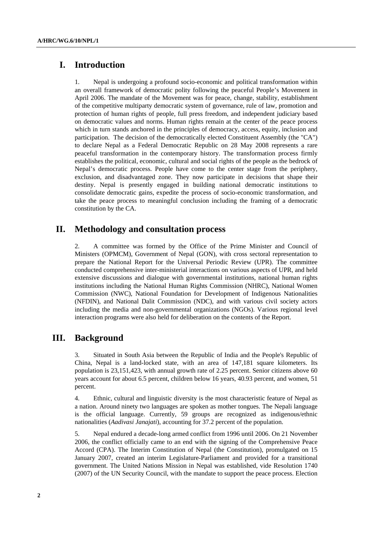# **I. Introduction**

1. Nepal is undergoing a profound socio-economic and political transformation within an overall framework of democratic polity following the peaceful People's Movement in April 2006. The mandate of the Movement was for peace, change, stability, establishment of the competitive multiparty democratic system of governance, rule of law, promotion and protection of human rights of people, full press freedom, and independent judiciary based on democratic values and norms. Human rights remain at the center of the peace process which in turn stands anchored in the principles of democracy, access, equity, inclusion and participation. The decision of the democratically elected Constituent Assembly (the "CA") to declare Nepal as a Federal Democratic Republic on 28 May 2008 represents a rare peaceful transformation in the contemporary history. The transformation process firmly establishes the political, economic, cultural and social rights of the people as the bedrock of Nepal's democratic process. People have come to the center stage from the periphery, exclusion, and disadvantaged zone. They now participate in decisions that shape their destiny. Nepal is presently engaged in building national democratic institutions to consolidate democratic gains, expedite the process of socio-economic transformation, and take the peace process to meaningful conclusion including the framing of a democratic constitution by the CA.

# **II. Methodology and consultation process**

2. A committee was formed by the Office of the Prime Minister and Council of Ministers (OPMCM), Government of Nepal (GON), with cross sectoral representation to prepare the National Report for the Universal Periodic Review (UPR). The committee conducted comprehensive inter-ministerial interactions on various aspects of UPR, and held extensive discussions and dialogue with governmental institutions, national human rights institutions including the National Human Rights Commission (NHRC), National Women Commission (NWC), National Foundation for Development of Indigenous Nationalities (NFDIN), and National Dalit Commission (NDC), and with various civil society actors including the media and non-governmental organizations (NGOs). Various regional level interaction programs were also held for deliberation on the contents of the Report.

# **III. Background**

3. Situated in South Asia between the Republic of India and the People's Republic of China, Nepal is a land-locked state, with an area of 147,181 square kilometers. Its population is 23,151,423, with annual growth rate of 2.25 percent. Senior citizens above 60 years account for about 6.5 percent, children below 16 years, 40.93 percent, and women, 51 percent.

4. Ethnic, cultural and linguistic diversity is the most characteristic feature of Nepal as a nation. Around ninety two languages are spoken as mother tongues. The Nepali language is the official language. Currently, 59 groups are recognized as indigenous/ethnic nationalities (*Aadivasi Janajati*), accounting for 37.2 percent of the population.

5. Nepal endured a decade-long armed conflict from 1996 until 2006. On 21 November 2006, the conflict officially came to an end with the signing of the Comprehensive Peace Accord (CPA). The Interim Constitution of Nepal (the Constitution), promulgated on 15 January 2007, created an interim Legislature-Parliament and provided for a transitional government. The United Nations Mission in Nepal was established, vide Resolution 1740 (2007) of the UN Security Council, with the mandate to support the peace process. Election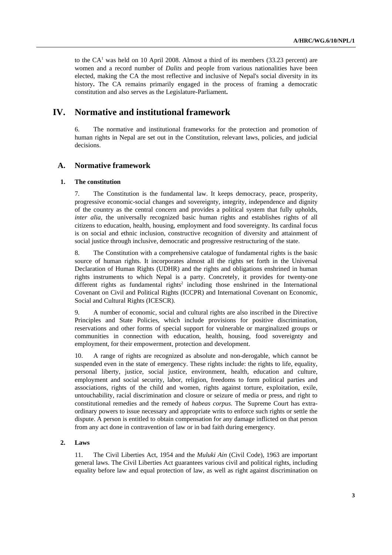to the  $CA<sup>1</sup>$  was held on 10 April 2008. Almost a third of its members (33.23 percent) are women and a record number of *Dalits* and people from various nationalities have been elected, making the CA the most reflective and inclusive of Nepal's social diversity in its history. The CA remains primarily engaged in the process of framing a democratic constitution and also serves as the Legislature-Parliament**.**

# **IV. Normative and institutional framework**

6. The normative and institutional frameworks for the protection and promotion of human rights in Nepal are set out in the Constitution, relevant laws, policies, and judicial decisions.

## **A. Normative framework**

#### **1. The constitution**

7. The Constitution is the fundamental law. It keeps democracy, peace, prosperity, progressive economic-social changes and sovereignty, integrity, independence and dignity of the country as the central concern and provides a political system that fully upholds, *inter alia*, the universally recognized basic human rights and establishes rights of all citizens to education, health, housing, employment and food sovereignty. Its cardinal focus is on social and ethnic inclusion, constructive recognition of diversity and attainment of social justice through inclusive, democratic and progressive restructuring of the state.

8. The Constitution with a comprehensive catalogue of fundamental rights is the basic source of human rights. It incorporates almost all the rights set forth in the Universal Declaration of Human Rights (UDHR) and the rights and obligations enshrined in human rights instruments to which Nepal is a party. Concretely, it provides for twenty-one different rights as fundamental rights<sup>2</sup> including those enshrined in the International Covenant on Civil and Political Rights (ICCPR) and International Covenant on Economic, Social and Cultural Rights (ICESCR).

9. A number of economic, social and cultural rights are also inscribed in the Directive Principles and State Policies, which include provisions for positive discrimination, reservations and other forms of special support for vulnerable or marginalized groups or communities in connection with education, health, housing, food sovereignty and employment, for their empowerment, protection and development.

10. A range of rights are recognized as absolute and non-derogable, which cannot be suspended even in the state of emergency. These rights include: the rights to life, equality, personal liberty, justice, social justice, environment, health, education and culture, employment and social security, labor, religion, freedoms to form political parties and associations, rights of the child and women, rights against torture, exploitation, exile, untouchability, racial discrimination and closure or seizure of media or press, and right to constitutional remedies and the remedy of *habeas corpus*. The Supreme Court has extraordinary powers to issue necessary and appropriate writs to enforce such rights or settle the dispute. A person is entitled to obtain compensation for any damage inflicted on that person from any act done in contravention of law or in bad faith during emergency.

## **2. Laws**

11. The Civil Liberties Act, 1954 and the *Muluki Ain* (Civil Code), 1963 are important general laws. The Civil Liberties Act guarantees various civil and political rights, including equality before law and equal protection of law, as well as right against discrimination on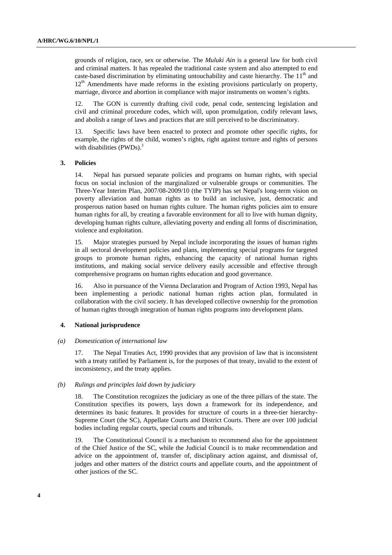grounds of religion, race, sex or otherwise. The *Muluki Ain* is a general law for both civil and criminal matters. It has repealed the traditional caste system and also attempted to end caste-based discrimination by eliminating untouchability and caste hierarchy. The  $11<sup>th</sup>$  and  $12<sup>th</sup>$  Amendments have made reforms in the existing provisions particularly on property, marriage, divorce and abortion in compliance with major instruments on women's rights.

12. The GON is currently drafting civil code, penal code, sentencing legislation and civil and criminal procedure codes, which will, upon promulgation, codify relevant laws, and abolish a range of laws and practices that are still perceived to be discriminatory.

Specific laws have been enacted to protect and promote other specific rights, for example, the rights of the child, women's rights, right against torture and rights of persons with disabilities (PWDs).<sup>3</sup>

## **3. Policies**

14. Nepal has pursued separate policies and programs on human rights, with special focus on social inclusion of the marginalized or vulnerable groups or communities. The Three-Year Interim Plan, 2007/08-2009/10 (the TYIP) has set Nepal's long-term vision on poverty alleviation and human rights as to build an inclusive, just, democratic and prosperous nation based on human rights culture. The human rights policies aim to ensure human rights for all, by creating a favorable environment for all to live with human dignity, developing human rights culture, alleviating poverty and ending all forms of discrimination, violence and exploitation.

15. Major strategies pursued by Nepal include incorporating the issues of human rights in all sectoral development policies and plans, implementing special programs for targeted groups to promote human rights, enhancing the capacity of national human rights institutions, and making social service delivery easily accessible and effective through comprehensive programs on human rights education and good governance.

16. Also in pursuance of the Vienna Declaration and Program of Action 1993, Nepal has been implementing a periodic national human rights action plan, formulated in collaboration with the civil society. It has developed collective ownership for the promotion of human rights through integration of human rights programs into development plans.

#### **4. National jurisprudence**

#### *(a) Domestication of international law*

17. The Nepal Treaties Act, 1990 provides that any provision of law that is inconsistent with a treaty ratified by Parliament is, for the purposes of that treaty, invalid to the extent of inconsistency, and the treaty applies.

#### *(b) Rulings and principles laid down by judiciary*

18. The Constitution recognizes the judiciary as one of the three pillars of the state. The Constitution specifies its powers, lays down a framework for its independence, and determines its basic features. It provides for structure of courts in a three-tier hierarchy-Supreme Court (the SC), Appellate Courts and District Courts. There are over 100 judicial bodies including regular courts, special courts and tribunals.

19. The Constitutional Council is a mechanism to recommend also for the appointment of the Chief Justice of the SC, while the Judicial Council is to make recommendation and advice on the appointment of, transfer of, disciplinary action against, and dismissal of, judges and other matters of the district courts and appellate courts, and the appointment of other justices of the SC.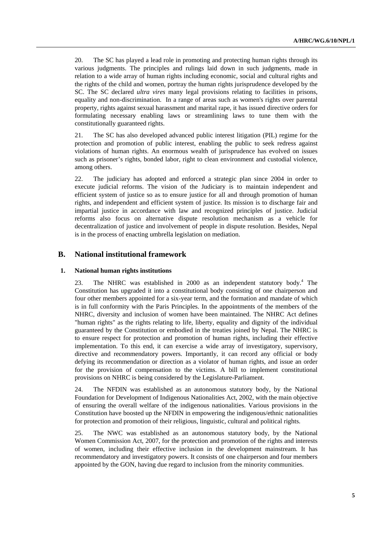20. The SC has played a lead role in promoting and protecting human rights through its various judgments. The principles and rulings laid down in such judgments, made in relation to a wide array of human rights including economic, social and cultural rights and the rights of the child and women, portray the human rights jurisprudence developed by the SC. The SC declared *ultra vires* many legal provisions relating to facilities in prisons, equality and non-discrimination. In a range of areas such as women's rights over parental property, rights against sexual harassment and marital rape, it has issued directive orders for formulating necessary enabling laws or streamlining laws to tune them with the constitutionally guaranteed rights.

21. The SC has also developed advanced public interest litigation (PIL) regime for the protection and promotion of public interest, enabling the public to seek redress against violations of human rights. An enormous wealth of jurisprudence has evolved on issues such as prisoner's rights, bonded labor, right to clean environment and custodial violence, among others.

22. The judiciary has adopted and enforced a strategic plan since 2004 in order to execute judicial reforms. The vision of the Judiciary is to maintain independent and efficient system of justice so as to ensure justice for all and through promotion of human rights, and independent and efficient system of justice. Its mission is to discharge fair and impartial justice in accordance with law and recognized principles of justice. Judicial reforms also focus on alternative dispute resolution mechanism as a vehicle for decentralization of justice and involvement of people in dispute resolution. Besides, Nepal is in the process of enacting umbrella legislation on mediation.

## **B. National institutional framework**

## **1. National human rights institutions**

23. The NHRC was established in 2000 as an independent statutory body.<sup>4</sup> The Constitution has upgraded it into a constitutional body consisting of one chairperson and four other members appointed for a six-year term, and the formation and mandate of which is in full conformity with the Paris Principles. In the appointments of the members of the NHRC, diversity and inclusion of women have been maintained. The NHRC Act defines "human rights" as the rights relating to life, liberty, equality and dignity of the individual guaranteed by the Constitution or embodied in the treaties joined by Nepal. The NHRC is to ensure respect for protection and promotion of human rights, including their effective implementation. To this end, it can exercise a wide array of investigatory, supervisory, directive and recommendatory powers. Importantly, it can record any official or body defying its recommendation or direction as a violator of human rights, and issue an order for the provision of compensation to the victims. A bill to implement constitutional provisions on NHRC is being considered by the Legislature-Parliament.

24. The NFDIN was established as an autonomous statutory body, by the National Foundation for Development of Indigenous Nationalities Act, 2002, with the main objective of ensuring the overall welfare of the indigenous nationalities. Various provisions in the Constitution have boosted up the NFDIN in empowering the indigenous/ethnic nationalities for protection and promotion of their religious, linguistic, cultural and political rights.

25. The NWC was established as an autonomous statutory body, by the National Women Commission Act, 2007, for the protection and promotion of the rights and interests of women, including their effective inclusion in the development mainstream. It has recommendatory and investigatory powers. It consists of one chairperson and four members appointed by the GON, having due regard to inclusion from the minority communities.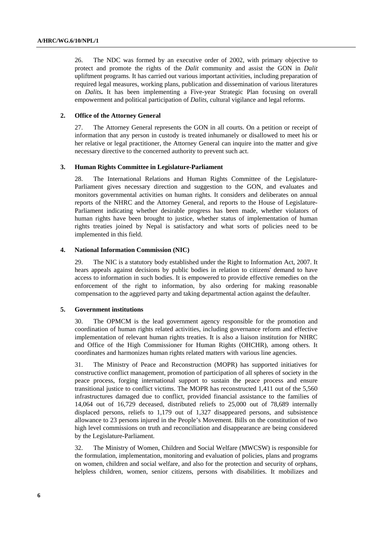26. The NDC was formed by an executive order of 2002, with primary objective to protect and promote the rights of the *Dalit* community and assist the GON in *Dalit* upliftment programs. It has carried out various important activities, including preparation of required legal measures, working plans, publication and dissemination of various literatures on *Dalits***.** It has been implementing a Five-year Strategic Plan focusing on overall empowerment and political participation of *Dalits*, cultural vigilance and legal reforms.

## **2. Office of the Attorney General**

27. The Attorney General represents the GON in all courts. On a petition or receipt of information that any person in custody is treated inhumanely or disallowed to meet his or her relative or legal practitioner, the Attorney General can inquire into the matter and give necessary directive to the concerned authority to prevent such act.

#### **3. Human Rights Committee in Legislature-Parliament**

28. The International Relations and Human Rights Committee of the Legislature-Parliament gives necessary direction and suggestion to the GON, and evaluates and monitors governmental activities on human rights. It considers and deliberates on annual reports of the NHRC and the Attorney General, and reports to the House of Legislature-Parliament indicating whether desirable progress has been made, whether violators of human rights have been brought to justice, whether status of implementation of human rights treaties joined by Nepal is satisfactory and what sorts of policies need to be implemented in this field.

## **4. National Information Commission (NIC)**

29. The NIC is a statutory body established under the Right to Information Act, 2007. It hears appeals against decisions by public bodies in relation to citizens' demand to have access to information in such bodies. It is empowered to provide effective remedies on the enforcement of the right to information, by also ordering for making reasonable compensation to the aggrieved party and taking departmental action against the defaulter.

#### **5. Government institutions**

30. The OPMCM is the lead government agency responsible for the promotion and coordination of human rights related activities, including governance reform and effective implementation of relevant human rights treaties. It is also a liaison institution for NHRC and Office of the High Commissioner for Human Rights (OHCHR), among others. It coordinates and harmonizes human rights related matters with various line agencies.

31. The Ministry of Peace and Reconstruction (MOPR) has supported initiatives for constructive conflict management, promotion of participation of all spheres of society in the peace process, forging international support to sustain the peace process and ensure transitional justice to conflict victims. The MOPR has reconstructed 1,411 out of the 5,560 infrastructures damaged due to conflict, provided financial assistance to the families of 14,064 out of 16,729 deceased, distributed reliefs to 25,000 out of 78,689 internally displaced persons, reliefs to 1,179 out of 1,327 disappeared persons, and subsistence allowance to 23 persons injured in the People's Movement. Bills on the constitution of two high level commissions on truth and reconciliation and disappearance are being considered by the Legislature-Parliament.

32. The Ministry of Women, Children and Social Welfare (MWCSW) is responsible for the formulation, implementation, monitoring and evaluation of policies, plans and programs on women, children and social welfare, and also for the protection and security of orphans, helpless children, women, senior citizens, persons with disabilities. It mobilizes and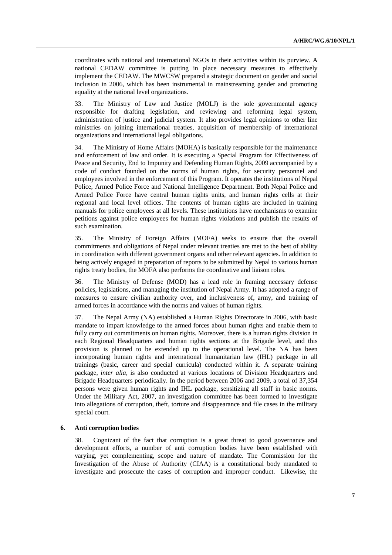coordinates with national and international NGOs in their activities within its purview. A national CEDAW committee is putting in place necessary measures to effectively implement the CEDAW. The MWCSW prepared a strategic document on gender and social inclusion in 2006, which has been instrumental in mainstreaming gender and promoting equality at the national level organizations.

33. The Ministry of Law and Justice (MOLJ) is the sole governmental agency responsible for drafting legislation, and reviewing and reforming legal system, administration of justice and judicial system. It also provides legal opinions to other line ministries on joining international treaties, acquisition of membership of international organizations and international legal obligations.

34. The Ministry of Home Affairs (MOHA) is basically responsible for the maintenance and enforcement of law and order. It is executing a Special Program for Effectiveness of Peace and Security, End to Impunity and Defending Human Rights, 2009 accompanied by a code of conduct founded on the norms of human rights, for security personnel and employees involved in the enforcement of this Program. It operates the institutions of Nepal Police, Armed Police Force and National Intelligence Department. Both Nepal Police and Armed Police Force have central human rights units, and human rights cells at their regional and local level offices. The contents of human rights are included in training manuals for police employees at all levels. These institutions have mechanisms to examine petitions against police employees for human rights violations and publish the results of such examination.

35. The Ministry of Foreign Affairs (MOFA) seeks to ensure that the overall commitments and obligations of Nepal under relevant treaties are met to the best of ability in coordination with different government organs and other relevant agencies. In addition to being actively engaged in preparation of reports to be submitted by Nepal to various human rights treaty bodies, the MOFA also performs the coordinative and liaison roles.

36. The Ministry of Defense (MOD) has a lead role in framing necessary defense policies, legislations, and managing the institution of Nepal Army. It has adopted a range of measures to ensure civilian authority over, and inclusiveness of, army, and training of armed forces in accordance with the norms and values of human rights.

37. The Nepal Army (NA) established a Human Rights Directorate in 2006, with basic mandate to impart knowledge to the armed forces about human rights and enable them to fully carry out commitments on human rights. Moreover, there is a human rights division in each Regional Headquarters and human rights sections at the Brigade level, and this provision is planned to be extended up to the operational level. The NA has been incorporating human rights and international humanitarian law (IHL) package in all trainings (basic, career and special curricula) conducted within it. A separate training package, *inter alia*, is also conducted at various locations of Division Headquarters and Brigade Headquarters periodically. In the period between 2006 and 2009, a total of 37,354 persons were given human rights and IHL package, sensitizing all staff in basic norms. Under the Military Act, 2007, an investigation committee has been formed to investigate into allegations of corruption, theft, torture and disappearance and file cases in the military special court.

#### **6. Anti corruption bodies**

38. Cognizant of the fact that corruption is a great threat to good governance and development efforts, a number of anti corruption bodies have been established with varying, yet complementing, scope and nature of mandate. The Commission for the Investigation of the Abuse of Authority (CIAA) is a constitutional body mandated to investigate and prosecute the cases of corruption and improper conduct. Likewise, the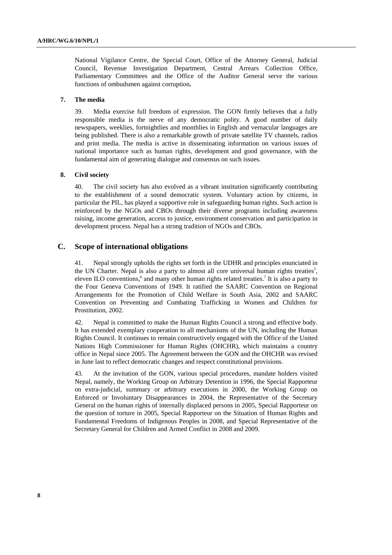National Vigilance Centre, the Special Court, Office of the Attorney General, Judicial Council, Revenue Investigation Department, Central Arrears Collection Office, Parliamentary Committees and the Office of the Auditor General serve the various functions of ombudsmen against corruption**.** 

#### **7. The media**

39. Media exercise full freedom of expression. The GON firmly believes that a fully responsible media is the nerve of any democratic polity. A good number of daily newspapers, weeklies, fortnightlies and monthlies in English and vernacular languages are being published. There is also a remarkable growth of private satellite TV channels, radios and print media. The media is active in disseminating information on various issues of national importance such as human rights, development and good governance, with the fundamental aim of generating dialogue and consensus on such issues.

#### **8. Civil society**

40. The civil society has also evolved as a vibrant institution significantly contributing to the establishment of a sound democratic system. Voluntary action by citizens, in particular the PIL, has played a supportive role in safeguarding human rights. Such action is reinforced by the NGOs and CBOs through their diverse programs including awareness raising, income generation, access to justice, environment conservation and participation in development process. Nepal has a strong tradition of NGOs and CBOs.

## **C. Scope of international obligations**

41. Nepal strongly upholds the rights set forth in the UDHR and principles enunciated in the UN Charter. Nepal is also a party to almost all core universal human rights treaties<sup>5</sup>, eleven ILO conventions,<sup>6</sup> and many other human rights related treaties.<sup>7</sup> It is also a party to the Four Geneva Conventions of 1949. It ratified the SAARC Convention on Regional Arrangements for the Promotion of Child Welfare in South Asia, 2002 and SAARC Convention on Preventing and Combating Trafficking in Women and Children for Prostitution, 2002.

42. Nepal is committed to make the Human Rights Council a strong and effective body. It has extended exemplary cooperation to all mechanisms of the UN, including the Human Rights Council. It continues to remain constructively engaged with the Office of the United Nations High Commissioner for Human Rights (OHCHR), which maintains a country office in Nepal since 2005. The Agreement between the GON and the OHCHR was revised in June last to reflect democratic changes and respect constitutional provisions.

43. At the invitation of the GON, various special procedures, mandate holders visited Nepal, namely, the Working Group on Arbitrary Detention in 1996, the Special Rapporteur on extra-judicial, summary or arbitrary executions in 2000, the Working Group on Enforced or Involuntary Disappearances in 2004, the Representative of the Secretary General on the human rights of internally displaced persons in 2005, Special Rapporteur on the question of torture in 2005, Special Rapporteur on the Situation of Human Rights and Fundamental Freedoms of Indigenous Peoples in 2008, and Special Representative of the Secretary General for Children and Armed Conflict in 2008 and 2009.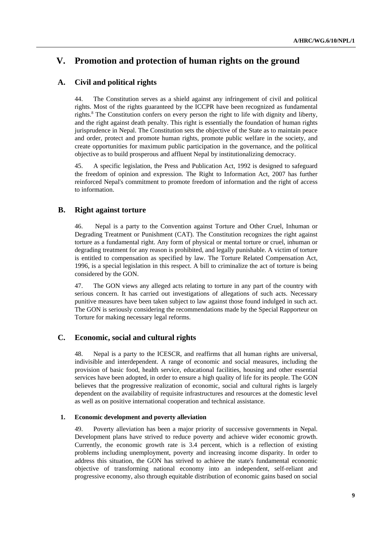# **V. Promotion and protection of human rights on the ground**

# **A. Civil and political rights**

44. The Constitution serves as a shield against any infringement of civil and political rights. Most of the rights guaranteed by the ICCPR have been recognized as fundamental rights.<sup>8</sup> The Constitution confers on every person the right to life with dignity and liberty, and the right against death penalty. This right is essentially the foundation of human rights jurisprudence in Nepal. The Constitution sets the objective of the State as to maintain peace and order, protect and promote human rights, promote public welfare in the society, and create opportunities for maximum public participation in the governance, and the political objective as to build prosperous and affluent Nepal by institutionalizing democracy.

45. A specific legislation, the Press and Publication Act, 1992 is designed to safeguard the freedom of opinion and expression. The Right to Information Act, 2007 has further reinforced Nepal's commitment to promote freedom of information and the right of access to information.

## **B. Right against torture**

46. Nepal is a party to the Convention against Torture and Other Cruel, Inhuman or Degrading Treatment or Punishment (CAT). The Constitution recognizes the right against torture as a fundamental right. Any form of physical or mental torture or cruel, inhuman or degrading treatment for any reason is prohibited, and legally punishable. A victim of torture is entitled to compensation as specified by law. The Torture Related Compensation Act, 1996, is a special legislation in this respect. A bill to criminalize the act of torture is being considered by the GON.

47. The GON views any alleged acts relating to torture in any part of the country with serious concern. It has carried out investigations of allegations of such acts. Necessary punitive measures have been taken subject to law against those found indulged in such act. The GON is seriously considering the recommendations made by the Special Rapporteur on Torture for making necessary legal reforms.

## **C. Economic, social and cultural rights**

48. Nepal is a party to the ICESCR, and reaffirms that all human rights are universal, indivisible and interdependent. A range of economic and social measures, including the provision of basic food, health service, educational facilities, housing and other essential services have been adopted, in order to ensure a high quality of life for its people. The GON believes that the progressive realization of economic, social and cultural rights is largely dependent on the availability of requisite infrastructures and resources at the domestic level as well as on positive international cooperation and technical assistance.

## **1. Economic development and poverty alleviation**

49. Poverty alleviation has been a major priority of successive governments in Nepal. Development plans have strived to reduce poverty and achieve wider economic growth. Currently, the economic growth rate is 3.4 percent, which is a reflection of existing problems including unemployment, poverty and increasing income disparity. In order to address this situation, the GON has strived to achieve the state's fundamental economic objective of transforming national economy into an independent, self-reliant and progressive economy, also through equitable distribution of economic gains based on social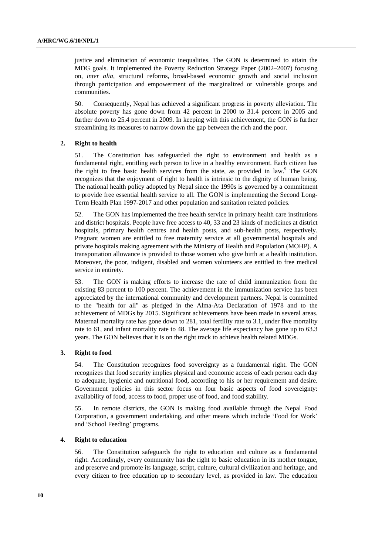justice and elimination of economic inequalities. The GON is determined to attain the MDG goals. It implemented the Poverty Reduction Strategy Paper (2002–2007) focusing on, *inter alia*, structural reforms, broad-based economic growth and social inclusion through participation and empowerment of the marginalized or vulnerable groups and communities.

50. Consequently, Nepal has achieved a significant progress in poverty alleviation. The absolute poverty has gone down from 42 percent in 2000 to 31.4 percent in 2005 and further down to 25.4 percent in 2009. In keeping with this achievement, the GON is further streamlining its measures to narrow down the gap between the rich and the poor.

## **2. Right to health**

51. The Constitution has safeguarded the right to environment and health as a fundamental right, entitling each person to live in a healthy environment. Each citizen has the right to free basic health services from the state, as provided in law.<sup>9</sup> The GON recognizes that the enjoyment of right to health is intrinsic to the dignity of human being. The national health policy adopted by Nepal since the 1990s is governed by a commitment to provide free essential health service to all. The GON is implementing the Second Long-Term Health Plan 1997-2017 and other population and sanitation related policies.

52. The GON has implemented the free health service in primary health care institutions and district hospitals. People have free access to 40, 33 and 23 kinds of medicines at district hospitals, primary health centres and health posts, and sub-health posts, respectively. Pregnant women are entitled to free maternity service at all governmental hospitals and private hospitals making agreement with the Ministry of Health and Population (MOHP). A transportation allowance is provided to those women who give birth at a health institution. Moreover, the poor, indigent, disabled and women volunteers are entitled to free medical service in entirety.

53. The GON is making efforts to increase the rate of child immunization from the existing 83 percent to 100 percent. The achievement in the immunization service has been appreciated by the international community and development partners. Nepal is committed to the "health for all" as pledged in the Alma-Ata Declaration of 1978 and to the achievement of MDGs by 2015. Significant achievements have been made in several areas. Maternal mortality rate has gone down to 281, total fertility rate to 3.1, under five mortality rate to 61, and infant mortality rate to 48. The average life expectancy has gone up to 63.3 years. The GON believes that it is on the right track to achieve health related MDGs.

#### **3. Right to food**

54. The Constitution recognizes food sovereignty as a fundamental right. The GON recognizes that food security implies physical and economic access of each person each day to adequate, hygienic and nutritional food, according to his or her requirement and desire. Government policies in this sector focus on four basic aspects of food sovereignty: availability of food, access to food, proper use of food, and food stability.

55. In remote districts, the GON is making food available through the Nepal Food Corporation, a government undertaking, and other means which include 'Food for Work' and 'School Feeding' programs.

#### **4. Right to education**

56. The Constitution safeguards the right to education and culture as a fundamental right. Accordingly, every community has the right to basic education in its mother tongue, and preserve and promote its language, script, culture, cultural civilization and heritage, and every citizen to free education up to secondary level, as provided in law. The education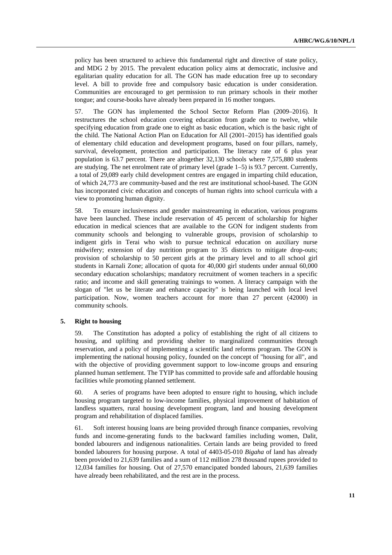policy has been structured to achieve this fundamental right and directive of state policy, and MDG 2 by 2015. The prevalent education policy aims at democratic, inclusive and egalitarian quality education for all. The GON has made education free up to secondary level. A bill to provide free and compulsory basic education is under consideration. Communities are encouraged to get permission to run primary schools in their mother tongue; and course-books have already been prepared in 16 mother tongues.

57. The GON has implemented the School Sector Reform Plan (2009–2016). It restructures the school education covering education from grade one to twelve, while specifying education from grade one to eight as basic education, which is the basic right of the child. The National Action Plan on Education for All (2001–2015) has identified goals of elementary child education and development programs, based on four pillars, namely, survival, development, protection and participation. The literacy rate of 6 plus year population is 63.7 percent. There are altogether 32,130 schools where 7,575,880 students are studying. The net enrolment rate of primary level (grade 1–5) is 93.7 percent. Currently, a total of 29,089 early child development centres are engaged in imparting child education, of which 24,773 are community-based and the rest are institutional school-based. The GON has incorporated civic education and concepts of human rights into school curricula with a view to promoting human dignity.

58. To ensure inclusiveness and gender mainstreaming in education, various programs have been launched. These include reservation of 45 percent of scholarship for higher education in medical sciences that are available to the GON for indigent students from community schools and belonging to vulnerable groups, provision of scholarship to indigent girls in Terai who wish to pursue technical education on auxiliary nurse midwifery; extension of day nutrition program to 35 districts to mitigate drop-outs; provision of scholarship to 50 percent girls at the primary level and to all school girl students in Karnali Zone; allocation of quota for 40,000 girl students under annual 60,000 secondary education scholarships; mandatory recruitment of women teachers in a specific ratio; and income and skill generating trainings to women. A literacy campaign with the slogan of "let us be literate and enhance capacity" is being launched with local level participation. Now, women teachers account for more than 27 percent (42000) in community schools.

## **5. Right to housing**

59. The Constitution has adopted a policy of establishing the right of all citizens to housing, and uplifting and providing shelter to marginalized communities through reservation, and a policy of implementing a scientific land reforms program. The GON is implementing the national housing policy, founded on the concept of "housing for all", and with the objective of providing government support to low-income groups and ensuring planned human settlement. The TYIP has committed to provide safe and affordable housing facilities while promoting planned settlement.

60. A series of programs have been adopted to ensure right to housing, which include housing program targeted to low-income families, physical improvement of habitation of landless squatters, rural housing development program, land and housing development program and rehabilitation of displaced families.

61. Soft interest housing loans are being provided through finance companies, revolving funds and income-generating funds to the backward families including women, Dalit, bonded labourers and indigenous nationalities. Certain lands are being provided to freed bonded labourers for housing purpose. A total of 4403-05-010 *Bigaha* of land has already been provided to 21,639 families and a sum of 112 million 278 thousand rupees provided to 12,034 families for housing. Out of 27,570 emancipated bonded labours, 21,639 families have already been rehabilitated, and the rest are in the process.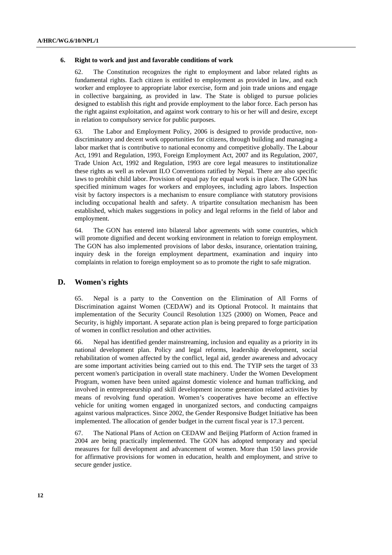#### **6. Right to work and just and favorable conditions of work**

62. The Constitution recognizes the right to employment and labor related rights as fundamental rights. Each citizen is entitled to employment as provided in law, and each worker and employee to appropriate labor exercise, form and join trade unions and engage in collective bargaining, as provided in law. The State is obliged to pursue policies designed to establish this right and provide employment to the labor force. Each person has the right against exploitation, and against work contrary to his or her will and desire, except in relation to compulsory service for public purposes.

63. The Labor and Employment Policy, 2006 is designed to provide productive, nondiscriminatory and decent work opportunities for citizens, through building and managing a labor market that is contributive to national economy and competitive globally. The Labour Act, 1991 and Regulation, 1993, Foreign Employment Act, 2007 and its Regulation, 2007, Trade Union Act, 1992 and Regulation, 1993 are core legal measures to institutionalize these rights as well as relevant ILO Conventions ratified by Nepal. There are also specific laws to prohibit child labor. Provision of equal pay for equal work is in place. The GON has specified minimum wages for workers and employees, including agro labors. Inspection visit by factory inspectors is a mechanism to ensure compliance with statutory provisions including occupational health and safety. A tripartite consultation mechanism has been established, which makes suggestions in policy and legal reforms in the field of labor and employment.

64. The GON has entered into bilateral labor agreements with some countries, which will promote dignified and decent working environment in relation to foreign employment. The GON has also implemented provisions of labor desks, insurance, orientation training, inquiry desk in the foreign employment department, examination and inquiry into complaints in relation to foreign employment so as to promote the right to safe migration.

## **D. Women's rights**

65. Nepal is a party to the Convention on the Elimination of All Forms of Discrimination against Women (CEDAW) and its Optional Protocol. It maintains that implementation of the Security Council Resolution 1325 (2000) on Women, Peace and Security, is highly important. A separate action plan is being prepared to forge participation of women in conflict resolution and other activities.

66. Nepal has identified gender mainstreaming, inclusion and equality as a priority in its national development plan. Policy and legal reforms, leadership development, social rehabilitation of women affected by the conflict, legal aid, gender awareness and advocacy are some important activities being carried out to this end. The TYIP sets the target of 33 percent women's participation in overall state machinery. Under the Women Development Program, women have been united against domestic violence and human trafficking, and involved in entrepreneurship and skill development income generation related activities by means of revolving fund operation. Women's cooperatives have become an effective vehicle for uniting women engaged in unorganized sectors, and conducting campaigns against various malpractices. Since 2002, the Gender Responsive Budget Initiative has been implemented. The allocation of gender budget in the current fiscal year is 17.3 percent.

67. The National Plans of Action on CEDAW and Beijing Platform of Action framed in 2004 are being practically implemented. The GON has adopted temporary and special measures for full development and advancement of women. More than 150 laws provide for affirmative provisions for women in education, health and employment, and strive to secure gender justice.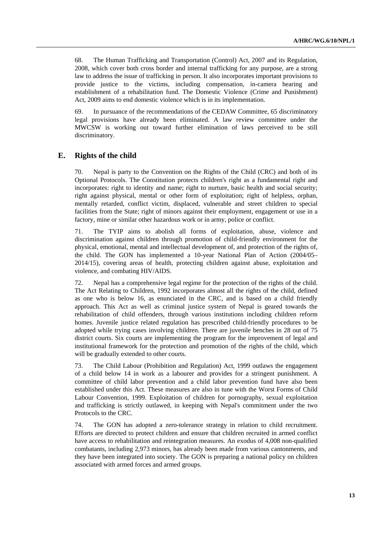68. The Human Trafficking and Transportation (Control) Act, 2007 and its Regulation, 2008, which cover both cross border and internal trafficking for any purpose, are a strong law to address the issue of trafficking in person. It also incorporates important provisions to provide justice to the victims, including compensation, in-camera hearing and establishment of a rehabilitation fund. The Domestic Violence (Crime and Punishment) Act, 2009 aims to end domestic violence which is in its implementation.

69. In pursuance of the recommendations of the CEDAW Committee, 65 discriminatory legal provisions have already been eliminated. A law review committee under the MWCSW is working out toward further elimination of laws perceived to be still discriminatory.

## **E. Rights of the child**

70. Nepal is party to the Convention on the Rights of the Child (CRC) and both of its Optional Protocols. The Constitution protects children's right as a fundamental right and incorporates: right to identity and name; right to nurture, basic health and social security; right against physical, mental or other form of exploitation; right of helpless, orphan, mentally retarded, conflict victim, displaced, vulnerable and street children to special facilities from the State; right of minors against their employment, engagement or use in a factory, mine or similar other hazardous work or in army, police or conflict.

71. The TYIP aims to abolish all forms of exploitation, abuse, violence and discrimination against children through promotion of child-friendly environment for the physical, emotional, mental and intellectual development of, and protection of the rights of, the child. The GON has implemented a 10-year National Plan of Action (2004/05– 2014/15), covering areas of health, protecting children against abuse, exploitation and violence, and combating HIV/AIDS.

72. Nepal has a comprehensive legal regime for the protection of the rights of the child. The Act Relating to Children, 1992 incorporates almost all the rights of the child, defined as one who is below 16, as enunciated in the CRC, and is based on a child friendly approach. This Act as well as criminal justice system of Nepal is geared towards the rehabilitation of child offenders, through various institutions including children reform homes. Juvenile justice related regulation has prescribed child-friendly procedures to be adopted while trying cases involving children. There are juvenile benches in 28 out of 75 district courts. Six courts are implementing the program for the improvement of legal and institutional framework for the protection and promotion of the rights of the child, which will be gradually extended to other courts.

73. The Child Labour (Prohibition and Regulation) Act, 1999 outlaws the engagement of a child below 14 in work as a labourer and provides for a stringent punishment. A committee of child labor prevention and a child labor prevention fund have also been established under this Act. These measures are also in tune with the Worst Forms of Child Labour Convention, 1999. Exploitation of children for pornography, sexual exploitation and trafficking is strictly outlawed, in keeping with Nepal's commitment under the two Protocols to the CRC.

74. The GON has adopted a zero-tolerance strategy in relation to child recruitment. Efforts are directed to protect children and ensure that children recruited in armed conflict have access to rehabilitation and reintegration measures. An exodus of 4,008 non-qualified combatants, including 2,973 minors, has already been made from various cantonments, and they have been integrated into society. The GON is preparing a national policy on children associated with armed forces and armed groups.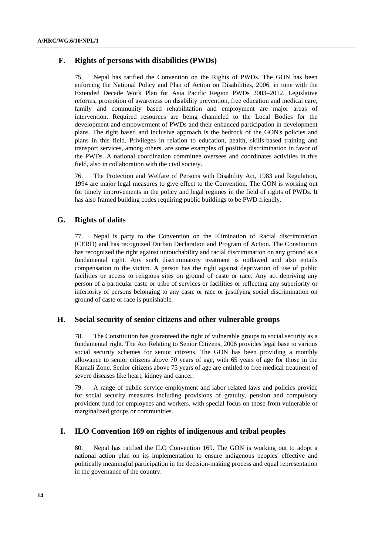## **F. Rights of persons with disabilities (PWDs)**

75. Nepal has ratified the Convention on the Rights of PWDs. The GON has been enforcing the National Policy and Plan of Action on Disabilities, 2006, in tune with the Extended Decade Work Plan for Asia Pacific Region PWDs 2003–2012. Legislative reforms, promotion of awareness on disability prevention, free education and medical care, family and community based rehabilitation and employment are major areas of intervention. Required resources are being channeled to the Local Bodies for the development and empowerment of PWDs and their enhanced participation in development plans. The right based and inclusive approach is the bedrock of the GON's policies and plans in this field. Privileges in relation to education, health, skills-based training and transport services, among others, are some examples of positive discrimination in favor of the PWDs. A national coordination committee oversees and coordinates activities in this field, also in collaboration with the civil society.

76. The Protection and Welfare of Persons with Disability Act, 1983 and Regulation, 1994 are major legal measures to give effect to the Convention. The GON is working out for timely improvements in the policy and legal regimes in the field of rights of PWDs. It has also framed building codes requiring public buildings to be PWD friendly.

## **G. Rights of dalits**

77. Nepal is party to the Convention on the Elimination of Racial discrimination (CERD) and has recognized Durban Declaration and Program of Action. The Constitution has recognized the right against untouchability and racial discrimination on any ground as a fundamental right. Any such discriminatory treatment is outlawed and also entails compensation to the victim. A person has the right against deprivation of use of public facilities or access to religious sites on ground of caste or race. Any act depriving any person of a particular caste or tribe of services or facilities or reflecting any superiority or inferiority of persons belonging to any cas*t*e or race or justifying social discrimination on ground of caste or race is punishable.

## **H. Social security of senior citizens and other vulnerable groups**

78. The Constitution has guaranteed the right of vulnerable groups to social security as a fundamental right. The Act Relating to Senior Citizens, 2006 provides legal base to various social security schemes for senior citizens. The GON has been providing a monthly allowance to senior citizens above 70 years of age, with 65 years of age for those in the Karnali Zone. Senior citizens above 75 years of age are entitled to free medical treatment of severe diseases like heart, kidney and cancer.

79. A range of public service employment and labor related laws and policies provide for social security measures including provisions of gratuity, pension and compulsory provident fund for employees and workers, with special focus on those from vulnerable or marginalized groups or communities.

## **I. ILO Convention 169 on rights of indigenous and tribal peoples**

80. Nepal has ratified the ILO Convention 169. The GON is working out to adopt a national action plan on its implementation to ensure indigenous peoples' effective and politically meaningful participation in the decision-making process and equal representation in the governance of the country.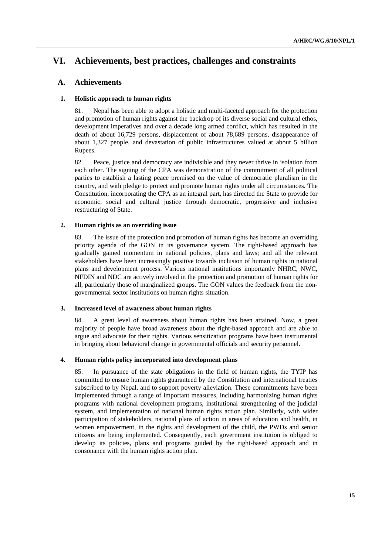# **VI. Achievements, best practices, challenges and constraints**

## **A. Achievements**

## **1. Holistic approach to human rights**

81. Nepal has been able to adopt a holistic and multi-faceted approach for the protection and promotion of human rights against the backdrop of its diverse social and cultural ethos, development imperatives and over a decade long armed conflict, which has resulted in the death of about 16,729 persons, displacement of about 78,689 persons, disappearance of about 1,327 people, and devastation of public infrastructures valued at about 5 billion Rupees.

82. Peace, justice and democracy are indivisible and they never thrive in isolation from each other. The signing of the CPA was demonstration of the commitment of all political parties to establish a lasting peace premised on the value of democratic pluralism in the country, and with pledge to protect and promote human rights under all circumstances. The Constitution, incorporating the CPA as an integral part, has directed the State to provide for economic, social and cultural justice through democratic, progressive and inclusive restructuring of State.

## **2. Human rights as an overriding issue**

83. The issue of the protection and promotion of human rights has become an overriding priority agenda of the GON in its governance system. The right-based approach has gradually gained momentum in national policies, plans and laws; and all the relevant stakeholders have been increasingly positive towards inclusion of human rights in national plans and development process. Various national institutions importantly NHRC, NWC, NFDIN and NDC are actively involved in the protection and promotion of human rights for all, particularly those of marginalized groups. The GON values the feedback from the nongovernmental sector institutions on human rights situation.

## **3. Increased level of awareness about human rights**

84. A great level of awareness about human rights has been attained. Now, a great majority of people have broad awareness about the right-based approach and are able to argue and advocate for their rights. Various sensitization programs have been instrumental in bringing about behavioral change in governmental officials and security personnel.

## **4. Human rights policy incorporated into development plans**

85. In pursuance of the state obligations in the field of human rights, the TYIP has committed to ensure human rights guaranteed by the Constitution and international treaties subscribed to by Nepal, and to support poverty alleviation. These commitments have been implemented through a range of important measures, including harmonizing human rights programs with national development programs, institutional strengthening of the judicial system, and implementation of national human rights action plan. Similarly, with wider participation of stakeholders, national plans of action in areas of education and health, in women empowerment, in the rights and development of the child, the PWDs and senior citizens are being implemented. Consequently, each government institution is obliged to develop its policies, plans and programs guided by the right-based approach and in consonance with the human rights action plan.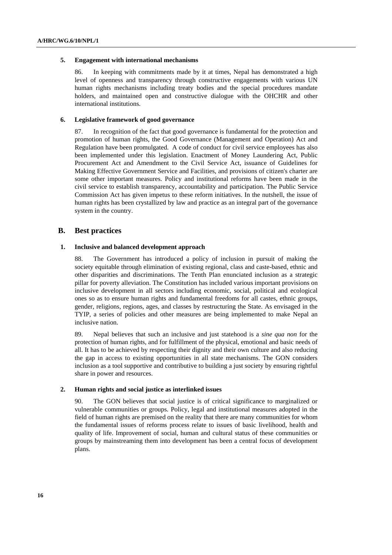#### **5. Engagement with international mechanisms**

86. In keeping with commitments made by it at times, Nepal has demonstrated a high level of openness and transparency through constructive engagements with various UN human rights mechanisms including treaty bodies and the special procedures mandate holders, and maintained open and constructive dialogue with the OHCHR and other international institutions.

#### **6. Legislative framework of good governance**

87. In recognition of the fact that good governance is fundamental for the protection and promotion of human rights, the Good Governance (Management and Operation) Act and Regulation have been promulgated. A code of conduct for civil service employees has also been implemented under this legislation. Enactment of Money Laundering Act, Public Procurement Act and Amendment to the Civil Service Act, issuance of Guidelines for Making Effective Government Service and Facilities, and provisions of citizen's charter are some other important measures. Policy and institutional reforms have been made in the civil service to establish transparency, accountability and participation. The Public Service Commission Act has given impetus to these reform initiatives. In the nutshell, the issue of human rights has been crystallized by law and practice as an integral part of the governance system in the country.

## **B. Best practices**

## **1. Inclusive and balanced development approach**

88. The Government has introduced a policy of inclusion in pursuit of making the society equitable through elimination of existing regional, class and caste-based*,* ethnic and other disparities and discriminations. The Tenth Plan enunciated inclusion as a strategic pillar for poverty alleviation. The Constitution has included various important provisions on inclusive development in all sectors including economic, social, political and ecological ones so as to ensure human rights and fundamental freedoms for all castes, ethnic groups, gender, religions, regions, ages, and classes by restructuring the State. As envisaged in the TYIP, a series of policies and other measures are being implemented to make Nepal an inclusive nation.

89. Nepal believes that such an inclusive and just statehood is a *sine qua non* for the protection of human rights, and for fulfillment of the physical, emotional and basic needs of all. It has to be achieved by respecting their dignity and their own culture and also reducing the gap in access to existing opportunities in all state mechanisms. The GON considers inclusion as a tool supportive and contributive to building a just society by ensuring rightful share in power and resources.

#### **2. Human rights and social justice as interlinked issues**

90. The GON believes that social justice is of critical significance to marginalized or vulnerable communities or groups. Policy, legal and institutional measures adopted in the field of human rights are premised on the reality that there are many communities for whom the fundamental issues of reforms process relate to issues of basic livelihood, health and quality of life. Improvement of social, human and cultural status of these communities or groups by mainstreaming them into development has been a central focus of development plans.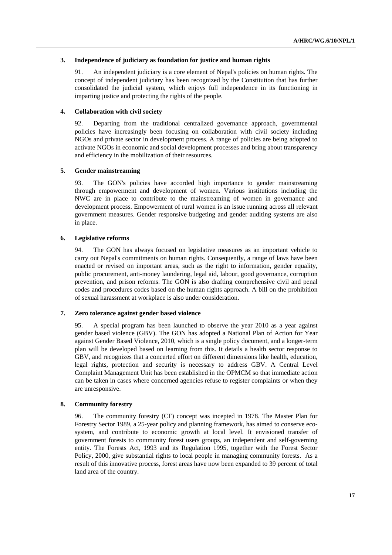#### **3. Independence of judiciary as foundation for justice and human rights**

91. An independent judiciary is a core element of Nepal's policies on human rights. The concept of independent judiciary has been recognized by the Constitution that has further consolidated the judicial system, which enjoys full independence in its functioning in imparting justice and protecting the rights of the people.

## **4. Collaboration with civil society**

92. Departing from the traditional centralized governance approach, governmental policies have increasingly been focusing on collaboration with civil society including NGOs and private sector in development process. A range of policies are being adopted to activate NGOs in economic and social development processes and bring about transparency and efficiency in the mobilization of their resources.

## **5. Gender mainstreaming**

93. The GON's policies have accorded high importance to gender mainstreaming through empowerment and development of women. Various institutions including the NWC are in place to contribute to the mainstreaming of women in governance and development process. Empowerment of rural women is an issue running across all relevant government measures. Gender responsive budgeting and gender auditing systems are also in place.

## **6. Legislative reforms**

94. The GON has always focused on legislative measures as an important vehicle to carry out Nepal's commitments on human rights. Consequently, a range of laws have been enacted or revised on important areas, such as the right to information, gender equality, public procurement, anti-money laundering, legal aid, labour, good governance, corruption prevention, and prison reforms. The GON is also drafting comprehensive civil and penal codes and procedures codes based on the human rights approach. A bill on the prohibition of sexual harassment at workplace is also under consideration.

## **7. Zero tolerance against gender based violence**

95. A special program has been launched to observe the year 2010 as a year against gender based violence (GBV). The GON has adopted a National Plan of Action for Year against Gender Based Violence, 2010, which is a single policy document, and a longer-term plan will be developed based on learning from this. It details a health sector response to GBV, and recognizes that a concerted effort on different dimensions like health, education, legal rights, protection and security is necessary to address GBV. A Central Level Complaint Management Unit has been established in the OPMCM so that immediate action can be taken in cases where concerned agencies refuse to register complaints or when they are unresponsive.

#### **8. Community forestry**

96. The community forestry (CF) concept was incepted in 1978. The Master Plan for Forestry Sector 1989, a 25-year policy and planning framework, has aimed to conserve ecosystem, and contribute to economic growth at local level. It envisioned transfer of government forests to community forest users groups, an independent and self-governing entity. The Forests Act, 1993 and its Regulation 1995, together with the Forest Sector Policy, 2000, give substantial rights to local people in managing community forests. As a result of this innovative process, forest areas have now been expanded to 39 percent of total land area of the country.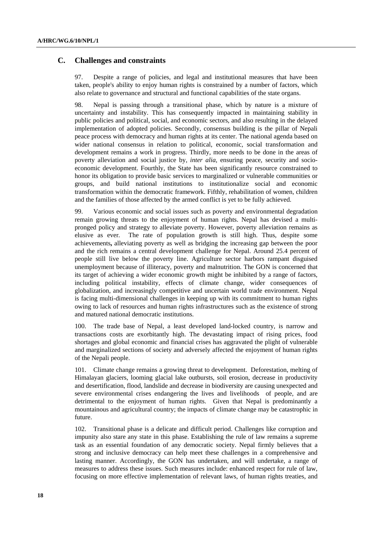## **C. Challenges and constraints**

97. Despite a range of policies, and legal and institutional measures that have been taken, people's ability to enjoy human rights is constrained by a number of factors, which also relate to governance and structural and functional capabilities of the state organs.

98. Nepal is passing through a transitional phase, which by nature is a mixture of uncertainty and instability. This has consequently impacted in maintaining stability in public policies and political, social, and economic sectors, and also resulting in the delayed implementation of adopted policies. Secondly, consensus building is the pillar of Nepali peace process with democracy and human rights at its center. The national agenda based on wider national consensus in relation to political, economic, social transformation and development remains a work in progress. Thirdly, more needs to be done in the areas of poverty alleviation and social justice by, *inter alia*, ensuring peace, security and socioeconomic development. Fourthly, the State has been significantly resource constrained to honor its obligation to provide basic services to marginalized or vulnerable communities or groups, and build national institutions to institutionalize social and economic transformation within the democratic framework. Fifthly, rehabilitation of women, children and the families of those affected by the armed conflict is yet to be fully achieved.

99. Various economic and social issues such as poverty and environmental degradation remain growing threats to the enjoyment of human rights. Nepal has devised a multipronged policy and strategy to alleviate poverty. However, poverty alleviation remains as elusive as ever*.* The rate of population growth is still high. Thus, despite some achievements**,** alleviating poverty as well as bridging the increasing gap between the poor and the rich remains a central development challenge for Nepal. Around 25.4 percent of people still live below the poverty line. Agriculture sector harbors rampant disguised unemployment because of illiteracy, poverty and malnutrition. The GON is concerned that its target of achieving a wider economic growth might be inhibited by a range of factors, including political instability, effects of climate change, wider consequences of globalization, and increasingly competitive and uncertain world trade environment. Nepal is facing multi-dimensional challenges in keeping up with its commitment to human rights owing to lack of resources and human rights infrastructures such as the existence of strong and matured national democratic institutions.

100. The trade base of Nepal, a least developed land-locked country, is narrow and transactions costs are exorbitantly high. The devastating impact of rising prices, food shortages and global economic and financial crises has aggravated the plight of vulnerable and marginalized sections of society and adversely affected the enjoyment of human rights of the Nepali people.

101. Climate change remains a growing threat to development. Deforestation, melting of Himalayan glaciers, looming glacial lake outbursts, soil erosion, decrease in productivity and desertification, flood, landslide and decrease in biodiversity are causing unexpected and severe environmental crises endangering the lives and livelihoods of people, and are detrimental to the enjoyment of human rights. Given that Nepal is predominantly a mountainous and agricultural country; the impacts of climate change may be catastrophic in future.

102. Transitional phase is a delicate and difficult period. Challenges like corruption and impunity also stare any state in this phase. Establishing the rule of law remains a supreme task as an essential foundation of any democratic society. Nepal firmly believes that a strong and inclusive democracy can help meet these challenges in a comprehensive and lasting manner. Accordingly, the GON has undertaken, and will undertake, a range of measures to address these issues. Such measures include: enhanced respect for rule of law, focusing on more effective implementation of relevant laws, of human rights treaties, and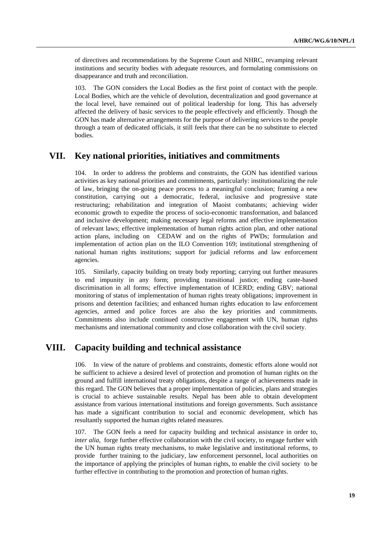of directives and recommendations by the Supreme Court and NHRC, revamping relevant institutions and security bodies with adequate resources, and formulating commissions on disappearance and truth and reconciliation.

103. The GON considers the Local Bodies as the first point of contact with the people. Local Bodies, which are the vehicle of devolution, decentralization and good governance at the local level, have remained out of political leadership for long. This has adversely affected the delivery of basic services to the people effectively and efficiently. Though the GON has made alternative arrangements for the purpose of delivering services to the people through a team of dedicated officials, it still feels that there can be no substitute to elected bodies.

# **VII. Key national priorities, initiatives and commitments**

104. In order to address the problems and constraints, the GON has identified various activities as key national priorities and commitments, particularly: institutionalizing the rule of law, bringing the on-going peace process to a meaningful conclusion; framing a new constitution, carrying out a democratic, federal, inclusive and progressive state restructuring; rehabilitation and integration of Maoist combatants; achieving wider economic growth to expedite the process of socio-economic transformation, and balanced and inclusive development; making necessary legal reforms and effective implementation of relevant laws; effective implementation of human rights action plan, and other national action plans, including on CEDAW and on the rights of PWDs; formulation and implementation of action plan on the ILO Convention 169; institutional strengthening of national human rights institutions; support for judicial reforms and law enforcement agencies.

105. Similarly, capacity building on treaty body reporting; carrying out further measures to end impunity in any form; providing transitional justice; ending caste-based discrimination in all forms; effective implementation of ICERD; ending GBV; national monitoring of status of implementation of human rights treaty obligations; improvement in prisons and detention facilities; and enhanced human rights education to law enforcement agencies, armed and police forces are also the key priorities and commitments. Commitments also include continued constructive engagement with UN, human rights mechanisms and international community and close collaboration with the civil society.

## **VIII. Capacity building and technical assistance**

106. In view of the nature of problems and constraints, domestic efforts alone would not be sufficient to achieve a desired level of protection and promotion of human rights on the ground and fulfill international treaty obligations, despite a range of achievements made in this regard. The GON believes that a proper implementation of policies, plans and strategies is crucial to achieve sustainable results. Nepal has been able to obtain development assistance from various international institutions and foreign governments. Such assistance has made a significant contribution to social and economic development, which has resultantly supported the human rights related measures.

107. The GON feels a need for capacity building and technical assistance in order to, *inter alia*, forge further effective collaboration with the civil society, to engage further with the UN human rights treaty mechanisms, to make legislative and institutional reforms, to provide further training to the judiciary, law enforcement personnel, local authorities on the importance of applying the principles of human rights, to enable the civil society to be further effective in contributing to the promotion and protection of human rights.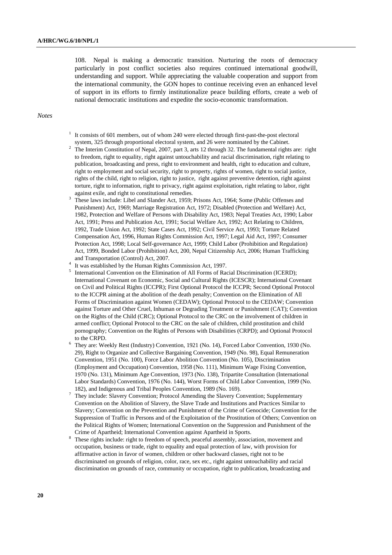108. Nepal is making a democratic transition. Nurturing the roots of democracy particularly in post conflict societies also requires continued international goodwill, understanding and support. While appreciating the valuable cooperation and support from the international community, the GON hopes to continue receiving even an enhanced level of support in its efforts to firmly institutionalize peace building efforts, create a web of national democratic institutions and expedite the socio-economic transformation.

#### *Notes*

- <sup>1</sup> It consists of 601 members, out of whom 240 were elected through first-past-the-post electoral system, 325 through proportional electoral system, and 26 were nominated by the Cabinet.
- The Interim Constitution of Nepal, 2007, part 3, arts 12 through 32. The fundamental rights are: right to freedom, right to equality, right against untouchability and racial discrimination, right relating to publication, broadcasting and press, right to environment and health, right to education and culture, right to employment and social security, right to property, rights of women, right to social justice, rights of the child, right to religion, right to justice, right against preventive detention, right against torture, right to information, right to privacy, right against exploitation, right relating to labor, right against exile, and right to constitutional remedies.
- These laws include: Libel and Slander Act, 1959; Prisons Act, 1964; Some (Public Offenses and Punishment) Act, 1969; Marriage Registration Act, 1972; Disabled (Protection and Welfare) Act, 1982, Protection and Welfare of Persons with Disability Act, 1983; Nepal Treaties Act, 1990; Labor Act, 1991; Press and Publication Act, 1991; Social Welfare Act, 1992; Act Relating to Children, 1992, Trade Union Act, 1992; State Cases Act, 1992; Civil Service Act, 1993; Torture Related Compensation Act, 1996, Human Rights Commission Act, 1997; Legal Aid Act, 1997; Consumer Protection Act, 1998; Local Self-governance Act, 1999; Child Labor (Prohibition and Regulation) Act, 1999, Bonded Labor (Prohibition) Act, 200, Nepal Citizenship Act, 2006; Human Trafficking and Transportation (Control) Act, 2007.<br> $\frac{4}{1}$  It was established by the Hyman Bights is
- <sup>4</sup> It was established by the Human Rights Commission Act, 1997.
- $<sup>5</sup>$  International Convention on the Elimination of All Forms of Racial Discrimination (ICERD);</sup> International Covenant on Economic, Social and Cultural Rights (ICESCR); International Covenant on Civil and Political Rights (ICCPR); First Optional Protocol the ICCPR; Second Optional Protocol to the ICCPR aiming at the abolition of the death penalty; Convention on the Elimination of All Forms of Discrimination against Women (CEDAW); Optional Protocol to the CEDAW; Convention against Torture and Other Cruel, Inhuman or Degrading Treatment or Punishment (CAT); Convention on the Rights of the Child (CRC); Optional Protocol to the CRC on the involvement of children in armed conflict; Optional Protocol to the CRC on the sale of children, child prostitution and child pornography; Convention on the Rights of Persons with Disabilities (CRPD); and Optional Protocol
- to the CRPD.<br>
<sup>6</sup> They are: Weekly Rest (Industry) Convention, 1921 (No. 14), Forced Labor Convention, 1930 (No. 29), Right to Organize and Collective Bargaining Convention, 1949 (No. 98), Equal Remuneration Convention, 1951 (No. 100), Force Labor Abolition Convention (No. 105), Discrimination (Employment and Occupation) Convention, 1958 (No. 111), Minimum Wage Fixing Convention, 1970 (No. 131), Minimum Age Convention, 1973 (No. 138), Tripartite Consultation (International Labor Standards) Convention, 1976 (No. 144), Worst Forms of Child Labor Convention, 1999 (No. 182), and Indigenous and Tribal Peoples Convention, 1989 (No. 169). 7
- They include: Slavery Convention; Protocol Amending the Slavery Convention; Supplementary Convention on the Abolition of Slavery, the Slave Trade and Institutions and Practices Similar to Slavery; Convention on the Prevention and Punishment of the Crime of Genocide; Convention for the Suppression of Traffic in Persons and of the Exploitation of the Prostitution of Others; Convention on the Political Rights of Women; International Convention on the Suppression and Punishment of the Crime of Apartheid; International Convention against Apartheid in Sports.<br>8. These sights include sight to face down of spoorly accepted against the spoorly
- These rights include: right to freedom of speech, peaceful assembly, association, movement and occupation, business or trade, right to equality and equal protection of law, with provision for affirmative action in favor of women, children or other backward classes, right not to be discriminated on grounds of religion, color, race, sex etc., right against untouchability and racial discrimination on grounds of race, community or occupation, right to publication, broadcasting and